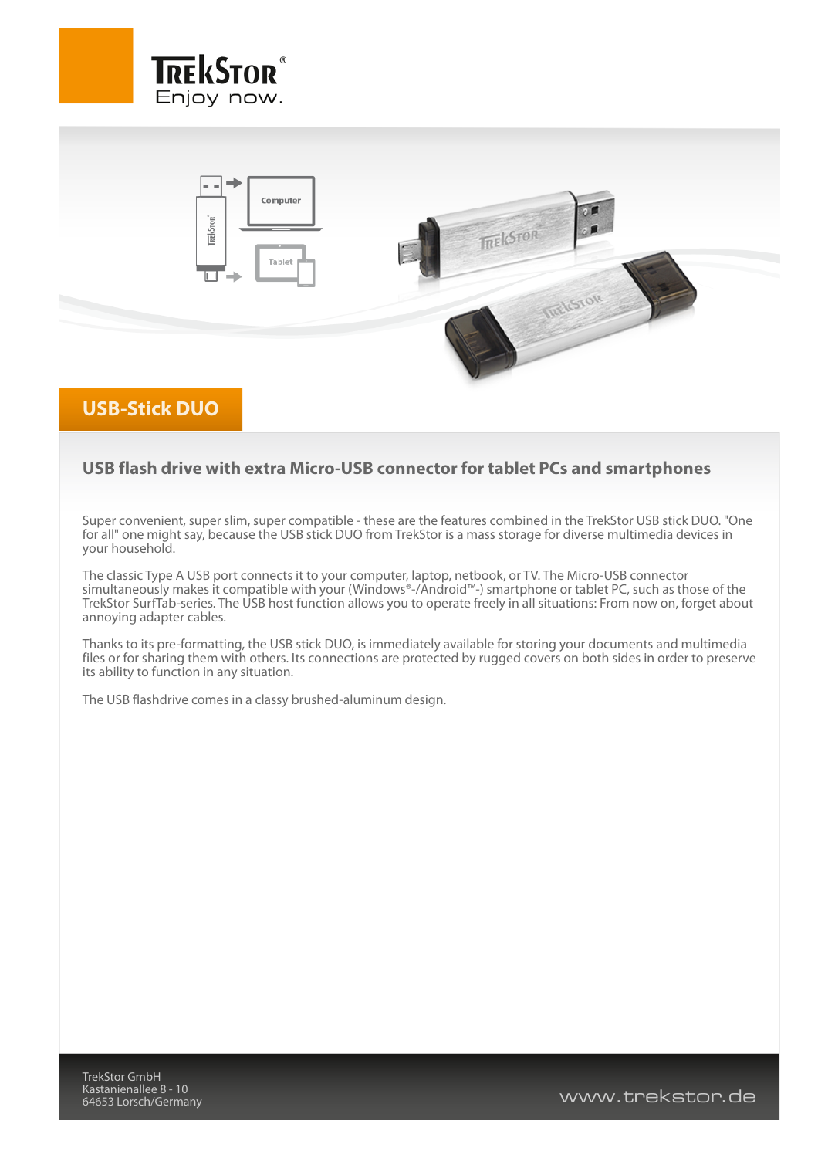



## **USB-Stick DUO**

## **USB flash drive with extra Micro-USB connector for tablet PCs and smartphones**

Super convenient, super slim, super compatible - these are the features combined in the TrekStor USB stick DUO. "One for all" one might say, because the USB stick DUO from TrekStor is a mass storage for diverse multimedia devices in your household.

The classic Type A USB port connects it to your computer, laptop, netbook, or TV. The Micro-USB connector simultaneously makes it compatible with your (Windows®-/Android™-) smartphone or tablet PC, such as those of the TrekStor SurfTab-series. The USB host function allows you to operate freely in all situations: From now on, forget about annoying adapter cables.

Thanks to its pre-formatting, the USB stick DUO, is immediately available for storing your documents and multimedia files or for sharing them with others. Its connections are protected by rugged covers on both sides in order to preserve its ability to function in any situation.

The USB flashdrive comes in a classy brushed-aluminum design.